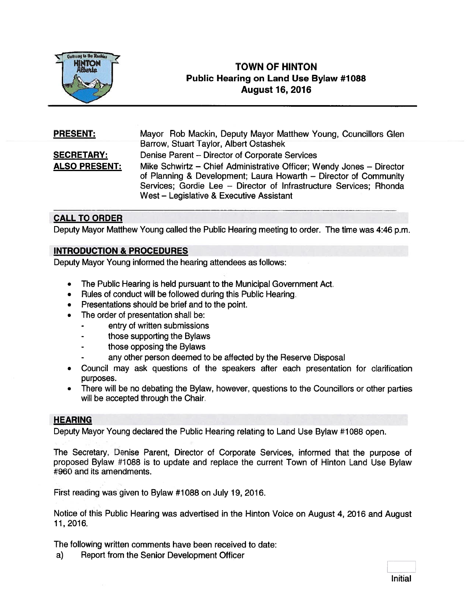

Mayor Rob Mackin, Deputy Mayor Matthew Young, Councillors Glen Barrow, Stuart Taylor, Albert Ostashek SECRETARY: Denise Parent — Director of Corporate Services ALSO PRESENT: Mike Schwirtz — Chief Administrative Officer; Wendy Jones — Director of Planning & Development; Laura Howarth — Director of Community Services; Gordie Lee — Director of Infrastructure Services; Rhonda West — Legislative & Executive Assistant **EXAMPLE THE CONSULTER THE SENIOR CONSULTER THE SENIOR CONSULTER THE SENIOR CONSULTER THE SENIOR CONSULTER THE SENIOR CONSULTER THE SENIOR CONSULTER THE SENIOR CONSULTER THE SENIOR OF CONSULTER THE SENIOR OF CONSULTER CONS PUblic Hearing on Land Use Bylaw #1088**<br> **August 16, 2076**<br> **PECEENTARY:**<br> **PECEENTARY:**<br> **PECEENTARY:**<br> **PECEENTARY:**<br> **PECEENTARY:**<br> **PECEENTARY:**<br> **PECEENTARY:**<br> **PECEENTARY:**<br> **PECEENTARY:**<br> **PECEENTARY:**<br> **PECEENTARY** 

# CALL TO ORDER

Deputy Mayor Matthew Young called the Public Hearing meeting to order. The time was 4:46 p.m.

### INTRODUCTION & PROCEDURES

Deputy Mayor Young informed the hearing attendees as follows:

- •The Public Hearing is held pursuan<sup>t</sup> to the Municipal Government Act.
- •Rules of conduct will be followed during this Public Hearing.
- •Presentations should be brief and to the point.
- • The order of presentation shall be:
	- entry of written submissions
	- those supporting the Bylaws
	- those opposing the Bylaws
		- any other person deemed to be affected by the Reserve Disposal
- • Council may ask questions of the speakers after each presentation for clarification purposes.
- • There will be no debating the Bylaw, however, questions to the Councillors or other parties will be accepted through the Chair.

### HEARING

Deputy Mayor Young declared the Public Hearing relating to Land Use Bylaw #1088 open.

The Secretary, Denise Parent, Director of Corporate Services, informed that the purpose of proposed Bylaw #1088 is to update and replace the current Town of Hinton Land Use Bylaw #960 and its amendments.

First reading was given to Bylaw #1088 on July 19, 2016.

Notice ot this Public Hearing was advertised in the Hinton Voice on August 4, 2016 and August 11,2016.

The following written comments have been received to date: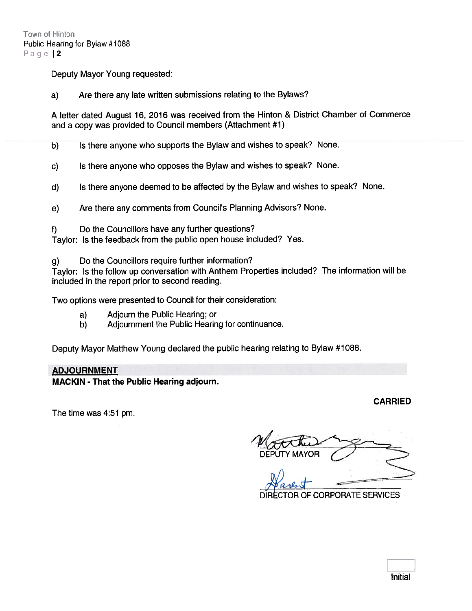Deputy Mayor Young requested:

a) Are there any late written submissions relating to the Bylaws?

<sup>A</sup> letter dated August 16, <sup>2016</sup> was received from the Hinton & District Chamber of Commerce and <sup>a</sup> copy was provided to Council members (Attachment #1)

b) Is there anyone who supports the Bylaw and wishes to speak? None.

c) Is there anyone who opposes the Bylaw and wishes to speak? None.

d) Is there anyone deemed to be affected by the Bylaw and wishes to speak? None.

e) Are there any comments from Council's Planning Advisors? None.

f) Do the Councillors have any further questions?

Taylor: Is the feedback from the public open house included? Yes.

g) Do the Councillors require further information?

Taylor: Is the follow up conversation with Anthem Properties included? The information will be included in the repor<sup>t</sup> prior to second reading.

Two options were presented to Council for their consideration:

a) Adjourn the Public Hearing; or

b) Adjournment the Public Hearing for continuance.

Deputy Mayor Matthew Young declared the public hearing relating to Bylaw #1088.

#### ADJOURNMENT

MACKIN - That the Public Hearing adjourn.

The time was 4:51 pm.

CARRIED

DEPUTY MAYOR

OF CORPORATE SERVICES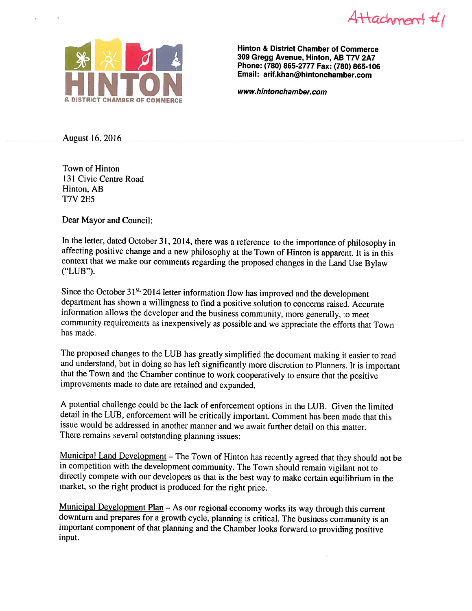$4$ ttachment #/



Hinton & District Chamber of Commerce 309 Gregg Avenue, Hinton, AB T7V 2A7 Phone: (780) 865-2777 Fax: (780) 865-1 <sup>06</sup> Email: arif.khan@hintonchamber.com

www.hintonchamber.com

August 16, 2016

Town of Hinton 131 Civic Centre Road Hinton, AB T7V 2E5

Dear Mayor and Council:

In the letter, dated October 31, 2014, there was a reference to the importance of philosophy in affecting positive change and <sup>a</sup> new <sup>p</sup>hilosophy at the Town of Hinton is apparent. It is in this context that we make our comments regarding the proposed changes in the Land Use Bylaw ("LUB").

Since the October  $31<sup>st</sup>$ , 2014 letter information flow has improved and the development department has shown <sup>a</sup> willingness to find <sup>a</sup> positive solution to concerns raised. Accurate information allows the developer and the business community, more generally, to meet community requirements as inexpensively as possible and we appreciate the efforts that Town has made.

The proposed changes to the LUB has greatly simplified the document making it easier to read and understand, but in doing so has left significantly more discretion to Planners. It is important that the Town and the Chamber continue to work cooperatively to ensure that the positive improvements made to date are retained and expanded.

<sup>A</sup> potential challenge could be the lack of enforcement options in the LUB. Given the limited detail in the LUB, enforcement will be critically important. Comment has been made that this issue would be addressed in another manner and we await further detail on this matter. There remains several outstanding <sup>p</sup>lanning issues:

Municipal Land Development — The Town of Hinton has recently agreed that they should not be in competition with the development community. The Town should remain vigilant not to directly compete with our developers as that is the best way to make certain equilibrium in the market, so the right product is produced for the right price.

Municipal Development Plan – As our regional economy works its way through this current downturn and prepares for <sup>a</sup> growth cycle, <sup>p</sup>lanning is critical. The business community is an important component of that <sup>p</sup>lanning and the Chamber looks forward to providing positive input.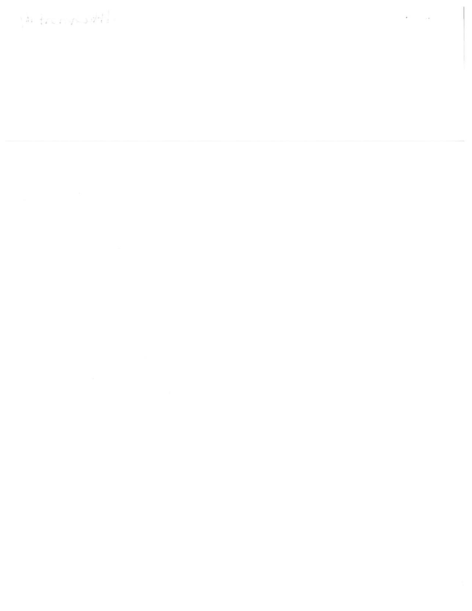$\label{eq:3.1} \left\|A\right\|\left\{f\in T,\, \sqrt{\log\left(\frac{1}{\epsilon}\right)}\,\sqrt{\frac{1}{\epsilon}}\right\}.$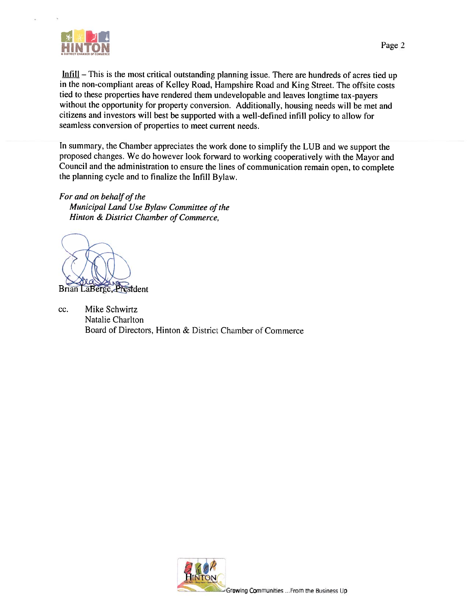

Infill – This is the most critical outstanding planning issue. There are hundreds of acres tied up in the non-compliant areas of Kelley Road, Hampshire Road and King Street. The offsite costs tied to these properties have rendered them undevelopable and leaves longtime tax-payers without the opportunity for property conversion. Additionally, housing needs will be met and citizens and investors will best be supported with a well-defined infill policy to allow for seamless conversion of properties to meet current needs.

In summary, the Chamber appreciates the work done to simplify the LUB and we support the proposed changes. We do however look forward to working cooperatively with the Mayor and Council and the administration to ensure the lines of communication remain open, to complete the planning cycle and to finalize the Infill Bylaw.

## For and on behalf of the

Municipal Land Use Bylaw Committee of the Hinton & District Chamber of Commerce,

Brian LaBerge, President

cc. Mike Schwirtz Natalie Charlton Board of Directors, Hinton & District Chamber of Commerce